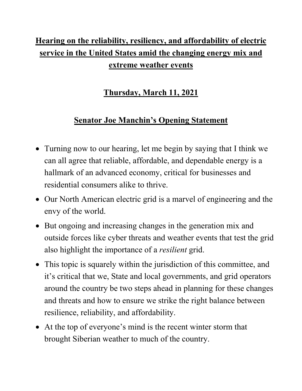## **Hearing on the reliability, resiliency, and affordability of electric service in the United States amid the changing energy mix and extreme weather events**

## **Thursday, March 11, 2021**

## **Senator Joe Manchin's Opening Statement**

- Turning now to our hearing, let me begin by saying that I think we can all agree that reliable, affordable, and dependable energy is a hallmark of an advanced economy, critical for businesses and residential consumers alike to thrive.
- Our North American electric grid is a marvel of engineering and the envy of the world.
- But ongoing and increasing changes in the generation mix and outside forces like cyber threats and weather events that test the grid also highlight the importance of a *resilient* grid.
- This topic is squarely within the jurisdiction of this committee, and it's critical that we, State and local governments, and grid operators around the country be two steps ahead in planning for these changes and threats and how to ensure we strike the right balance between resilience, reliability, and affordability.
- At the top of everyone's mind is the recent winter storm that brought Siberian weather to much of the country.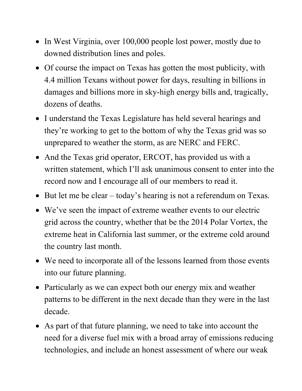- In West Virginia, over 100,000 people lost power, mostly due to downed distribution lines and poles.
- Of course the impact on Texas has gotten the most publicity, with 4.4 million Texans without power for days, resulting in billions in damages and billions more in sky-high energy bills and, tragically, dozens of deaths.
- I understand the Texas Legislature has held several hearings and they're working to get to the bottom of why the Texas grid was so unprepared to weather the storm, as are NERC and FERC.
- And the Texas grid operator, ERCOT, has provided us with a written statement, which I'll ask unanimous consent to enter into the record now and I encourage all of our members to read it.
- But let me be clear today's hearing is not a referendum on Texas.
- We've seen the impact of extreme weather events to our electric grid across the country, whether that be the 2014 Polar Vortex, the extreme heat in California last summer, or the extreme cold around the country last month.
- We need to incorporate all of the lessons learned from those events into our future planning.
- Particularly as we can expect both our energy mix and weather patterns to be different in the next decade than they were in the last decade.
- As part of that future planning, we need to take into account the need for a diverse fuel mix with a broad array of emissions reducing technologies, and include an honest assessment of where our weak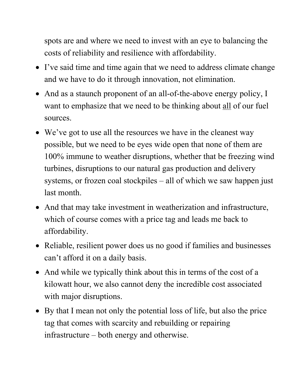spots are and where we need to invest with an eye to balancing the costs of reliability and resilience with affordability.

- I've said time and time again that we need to address climate change and we have to do it through innovation, not elimination.
- And as a staunch proponent of an all-of-the-above energy policy, I want to emphasize that we need to be thinking about all of our fuel sources.
- We've got to use all the resources we have in the cleanest way possible, but we need to be eyes wide open that none of them are 100% immune to weather disruptions, whether that be freezing wind turbines, disruptions to our natural gas production and delivery systems, or frozen coal stockpiles – all of which we saw happen just last month.
- And that may take investment in weatherization and infrastructure, which of course comes with a price tag and leads me back to affordability.
- Reliable, resilient power does us no good if families and businesses can't afford it on a daily basis.
- And while we typically think about this in terms of the cost of a kilowatt hour, we also cannot deny the incredible cost associated with major disruptions.
- By that I mean not only the potential loss of life, but also the price tag that comes with scarcity and rebuilding or repairing infrastructure – both energy and otherwise.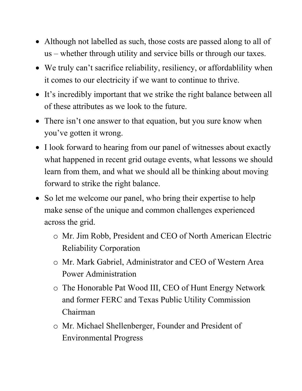- Although not labelled as such, those costs are passed along to all of us – whether through utility and service bills or through our taxes.
- We truly can't sacrifice reliability, resiliency, or affordability when it comes to our electricity if we want to continue to thrive.
- It's incredibly important that we strike the right balance between all of these attributes as we look to the future.
- There isn't one answer to that equation, but you sure know when you've gotten it wrong.
- I look forward to hearing from our panel of witnesses about exactly what happened in recent grid outage events, what lessons we should learn from them, and what we should all be thinking about moving forward to strike the right balance.
- So let me welcome our panel, who bring their expertise to help make sense of the unique and common challenges experienced across the grid.
	- o Mr. Jim Robb, President and CEO of North American Electric Reliability Corporation
	- o Mr. Mark Gabriel, Administrator and CEO of Western Area Power Administration
	- o The Honorable Pat Wood III, CEO of Hunt Energy Network and former FERC and Texas Public Utility Commission Chairman
	- o Mr. Michael Shellenberger, Founder and President of Environmental Progress